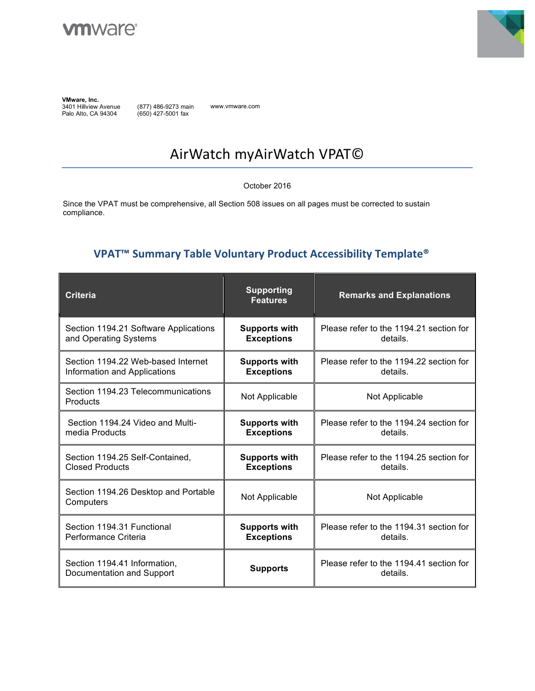



**VMware, Inc.**  3401 Hillview Avenue Palo Alto, CA 94304

(877) 486-9273 main (650) 427-5001 fax

www.vmware.com

# AirWatch myAirWatch VPAT©

October 2016

Since the VPAT must be comprehensive, all Section 508 issues on all pages must be corrected to sustain compliance.

#### **VPAT<sup>™</sup> Summary Table Voluntary Product Accessibility Template®**

| <b>Criteria</b>                                           | <b>Supporting</b><br><b>Features</b> | <b>Remarks and Explanations</b>                     |
|-----------------------------------------------------------|--------------------------------------|-----------------------------------------------------|
| Section 1194.21 Software Applications                     | <b>Supports with</b>                 | Please refer to the 1194.21 section for             |
| and Operating Systems                                     | <b>Exceptions</b>                    | details.                                            |
| Section 1194.22 Web-based Internet                        | <b>Supports with</b>                 | Please refer to the 1194.22 section for             |
| Information and Applications                              | <b>Exceptions</b>                    | details.                                            |
| Section 1194.23 Telecommunications<br>Products            | Not Applicable                       | Not Applicable                                      |
| Section 1194.24 Video and Multi-                          | <b>Supports with</b>                 | Please refer to the 1194.24 section for             |
| media Products                                            | <b>Exceptions</b>                    | details.                                            |
| Section 1194.25 Self-Contained,                           | <b>Supports with</b>                 | Please refer to the 1194.25 section for             |
| <b>Closed Products</b>                                    | <b>Exceptions</b>                    | details.                                            |
| Section 1194.26 Desktop and Portable<br>Computers         | Not Applicable                       | Not Applicable                                      |
| Section 1194.31 Functional                                | <b>Supports with</b>                 | Please refer to the 1194.31 section for             |
| Performance Criteria                                      | <b>Exceptions</b>                    | details.                                            |
| Section 1194.41 Information,<br>Documentation and Support | <b>Supports</b>                      | Please refer to the 1194.41 section for<br>details. |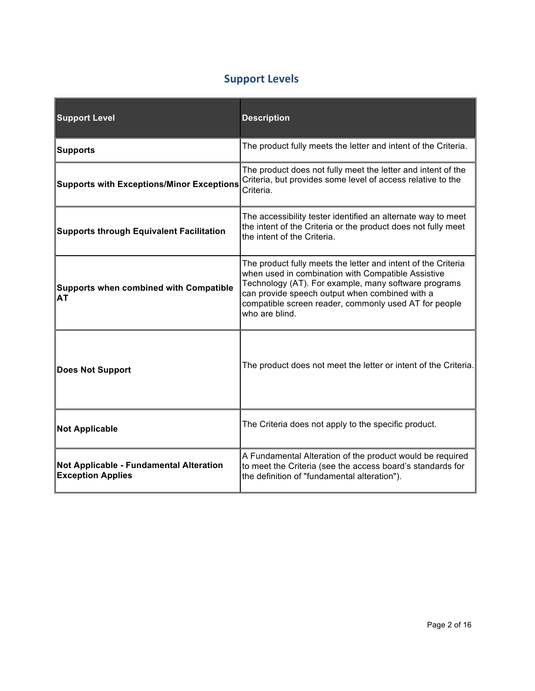### **Support Levels**

| <b>Support Level</b>                                                | <b>Description</b>                                                                                                                                                                                                                                                                                       |
|---------------------------------------------------------------------|----------------------------------------------------------------------------------------------------------------------------------------------------------------------------------------------------------------------------------------------------------------------------------------------------------|
| <b>Supports</b>                                                     | The product fully meets the letter and intent of the Criteria.                                                                                                                                                                                                                                           |
| <b>Supports with Exceptions/Minor Exceptions</b>                    | The product does not fully meet the letter and intent of the<br>Criteria, but provides some level of access relative to the<br>Criteria.                                                                                                                                                                 |
| <b>Supports through Equivalent Facilitation</b>                     | The accessibility tester identified an alternate way to meet<br>the intent of the Criteria or the product does not fully meet<br>the intent of the Criteria.                                                                                                                                             |
| <b>Supports when combined with Compatible</b><br>AT                 | The product fully meets the letter and intent of the Criteria<br>when used in combination with Compatible Assistive<br>Technology (AT). For example, many software programs<br>can provide speech output when combined with a<br>compatible screen reader, commonly used AT for people<br>who are blind. |
| <b>Does Not Support</b>                                             | The product does not meet the letter or intent of the Criteria.                                                                                                                                                                                                                                          |
| <b>Not Applicable</b>                                               | The Criteria does not apply to the specific product.                                                                                                                                                                                                                                                     |
| Not Applicable - Fundamental Alteration<br><b>Exception Applies</b> | A Fundamental Alteration of the product would be required<br>to meet the Criteria (see the access board's standards for<br>the definition of "fundamental alteration").                                                                                                                                  |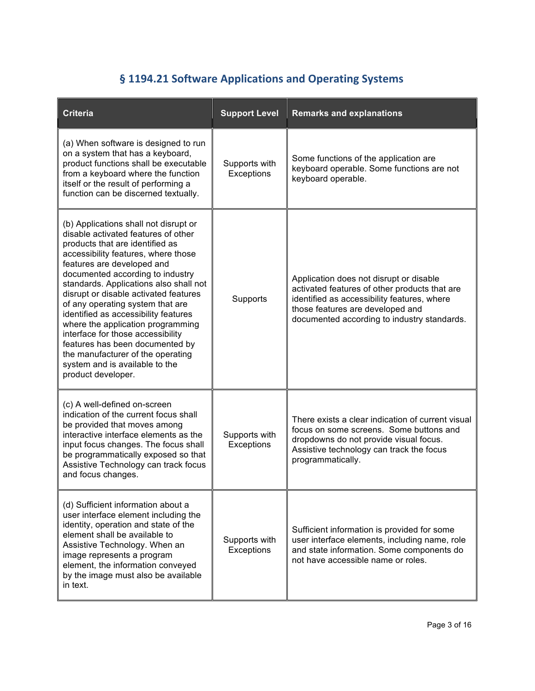# § 1194.21 Software Applications and Operating Systems

| <b>Criteria</b>                                                                                                                                                                                                                                                                                                                                                                                                                                                                                                                                                                                   | <b>Support Level</b>        | <b>Remarks and explanations</b>                                                                                                                                                                                            |
|---------------------------------------------------------------------------------------------------------------------------------------------------------------------------------------------------------------------------------------------------------------------------------------------------------------------------------------------------------------------------------------------------------------------------------------------------------------------------------------------------------------------------------------------------------------------------------------------------|-----------------------------|----------------------------------------------------------------------------------------------------------------------------------------------------------------------------------------------------------------------------|
| (a) When software is designed to run<br>on a system that has a keyboard,<br>product functions shall be executable<br>from a keyboard where the function<br>itself or the result of performing a<br>function can be discerned textually.                                                                                                                                                                                                                                                                                                                                                           | Supports with<br>Exceptions | Some functions of the application are<br>keyboard operable. Some functions are not<br>keyboard operable.                                                                                                                   |
| (b) Applications shall not disrupt or<br>disable activated features of other<br>products that are identified as<br>accessibility features, where those<br>features are developed and<br>documented according to industry<br>standards. Applications also shall not<br>disrupt or disable activated features<br>of any operating system that are<br>identified as accessibility features<br>where the application programming<br>interface for those accessibility<br>features has been documented by<br>the manufacturer of the operating<br>system and is available to the<br>product developer. | Supports                    | Application does not disrupt or disable<br>activated features of other products that are<br>identified as accessibility features, where<br>those features are developed and<br>documented according to industry standards. |
| (c) A well-defined on-screen<br>indication of the current focus shall<br>be provided that moves among<br>interactive interface elements as the<br>input focus changes. The focus shall<br>be programmatically exposed so that<br>Assistive Technology can track focus<br>and focus changes.                                                                                                                                                                                                                                                                                                       | Supports with<br>Exceptions | There exists a clear indication of current visual<br>focus on some screens. Some buttons and<br>dropdowns do not provide visual focus.<br>Assistive technology can track the focus<br>programmatically.                    |
| (d) Sufficient information about a<br>user interface element including the<br>identity, operation and state of the<br>element shall be available to<br>Assistive Technology. When an<br>image represents a program<br>element, the information conveyed<br>by the image must also be available<br>in text.                                                                                                                                                                                                                                                                                        | Supports with<br>Exceptions | Sufficient information is provided for some<br>user interface elements, including name, role<br>and state information. Some components do<br>not have accessible name or roles.                                            |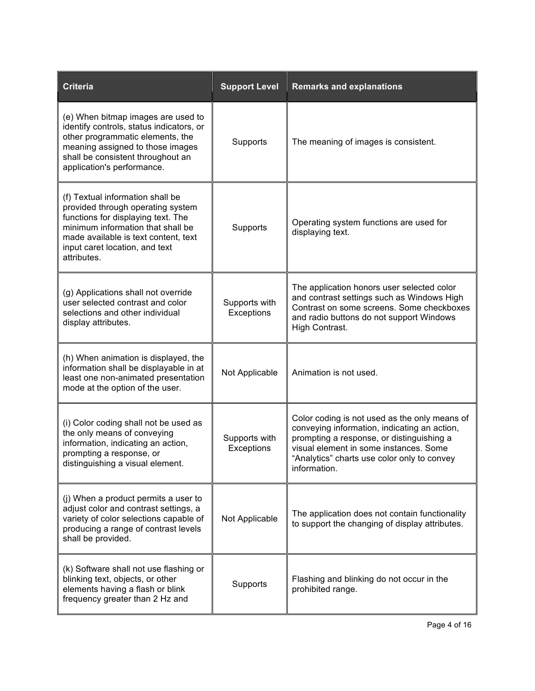| <b>Criteria</b>                                                                                                                                                                                                                           | <b>Support Level</b>        | <b>Remarks and explanations</b>                                                                                                                                                                                                                     |
|-------------------------------------------------------------------------------------------------------------------------------------------------------------------------------------------------------------------------------------------|-----------------------------|-----------------------------------------------------------------------------------------------------------------------------------------------------------------------------------------------------------------------------------------------------|
| (e) When bitmap images are used to<br>identify controls, status indicators, or<br>other programmatic elements, the<br>meaning assigned to those images<br>shall be consistent throughout an<br>application's performance.                 | Supports                    | The meaning of images is consistent.                                                                                                                                                                                                                |
| (f) Textual information shall be<br>provided through operating system<br>functions for displaying text. The<br>minimum information that shall be<br>made available is text content, text<br>input caret location, and text<br>attributes. | Supports                    | Operating system functions are used for<br>displaying text.                                                                                                                                                                                         |
| (g) Applications shall not override<br>user selected contrast and color<br>selections and other individual<br>display attributes.                                                                                                         | Supports with<br>Exceptions | The application honors user selected color<br>and contrast settings such as Windows High<br>Contrast on some screens. Some checkboxes<br>and radio buttons do not support Windows<br>High Contrast.                                                 |
| (h) When animation is displayed, the<br>information shall be displayable in at<br>least one non-animated presentation<br>mode at the option of the user.                                                                                  | Not Applicable              | Animation is not used.                                                                                                                                                                                                                              |
| (i) Color coding shall not be used as<br>the only means of conveying<br>information, indicating an action,<br>prompting a response, or<br>distinguishing a visual element.                                                                | Supports with<br>Exceptions | Color coding is not used as the only means of<br>conveying information, indicating an action,<br>prompting a response, or distinguishing a<br>visual element in some instances. Some<br>"Analytics" charts use color only to convey<br>information. |
| (j) When a product permits a user to<br>adjust color and contrast settings, a<br>variety of color selections capable of<br>producing a range of contrast levels<br>shall be provided.                                                     | Not Applicable              | The application does not contain functionality<br>to support the changing of display attributes.                                                                                                                                                    |
| (k) Software shall not use flashing or<br>blinking text, objects, or other<br>elements having a flash or blink<br>frequency greater than 2 Hz and                                                                                         | Supports                    | Flashing and blinking do not occur in the<br>prohibited range.                                                                                                                                                                                      |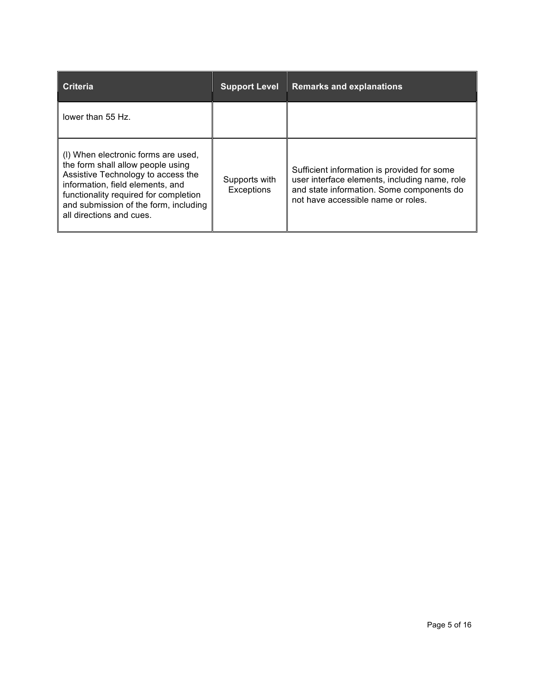| <b>Criteria</b>                                                                                                                                                                                                                                                  | <b>Support Level</b>        | <b>Remarks and explanations</b>                                                                                                                                                 |
|------------------------------------------------------------------------------------------------------------------------------------------------------------------------------------------------------------------------------------------------------------------|-----------------------------|---------------------------------------------------------------------------------------------------------------------------------------------------------------------------------|
| lower than 55 Hz.                                                                                                                                                                                                                                                |                             |                                                                                                                                                                                 |
| (I) When electronic forms are used,<br>the form shall allow people using<br>Assistive Technology to access the<br>information, field elements, and<br>functionality required for completion<br>and submission of the form, including<br>all directions and cues. | Supports with<br>Exceptions | Sufficient information is provided for some<br>user interface elements, including name, role<br>and state information. Some components do<br>not have accessible name or roles. |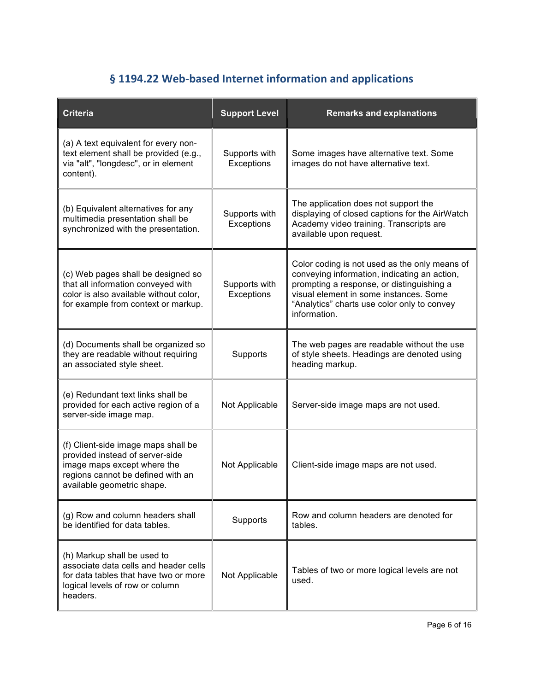### § 1194.22 Web-based Internet information and applications

| <b>Criteria</b>                                                                                                                                                          | <b>Support Level</b>        | <b>Remarks and explanations</b>                                                                                                                                                                                                                     |
|--------------------------------------------------------------------------------------------------------------------------------------------------------------------------|-----------------------------|-----------------------------------------------------------------------------------------------------------------------------------------------------------------------------------------------------------------------------------------------------|
| (a) A text equivalent for every non-<br>text element shall be provided (e.g.,<br>via "alt", "longdesc", or in element<br>content).                                       | Supports with<br>Exceptions | Some images have alternative text. Some<br>images do not have alternative text.                                                                                                                                                                     |
| (b) Equivalent alternatives for any<br>multimedia presentation shall be<br>synchronized with the presentation.                                                           | Supports with<br>Exceptions | The application does not support the<br>displaying of closed captions for the AirWatch<br>Academy video training. Transcripts are<br>available upon request.                                                                                        |
| (c) Web pages shall be designed so<br>that all information conveyed with<br>color is also available without color,<br>for example from context or markup.                | Supports with<br>Exceptions | Color coding is not used as the only means of<br>conveying information, indicating an action,<br>prompting a response, or distinguishing a<br>visual element in some instances. Some<br>"Analytics" charts use color only to convey<br>information. |
| (d) Documents shall be organized so<br>they are readable without requiring<br>an associated style sheet.                                                                 | Supports                    | The web pages are readable without the use<br>of style sheets. Headings are denoted using<br>heading markup.                                                                                                                                        |
| (e) Redundant text links shall be<br>provided for each active region of a<br>server-side image map.                                                                      | Not Applicable              | Server-side image maps are not used.                                                                                                                                                                                                                |
| (f) Client-side image maps shall be<br>provided instead of server-side<br>image maps except where the<br>regions cannot be defined with an<br>available geometric shape. | Not Applicable              | Client-side image maps are not used.                                                                                                                                                                                                                |
| (g) Row and column headers shall<br>be identified for data tables.                                                                                                       | Supports                    | Row and column headers are denoted for<br>tables.                                                                                                                                                                                                   |
| (h) Markup shall be used to<br>associate data cells and header cells<br>for data tables that have two or more<br>logical levels of row or column<br>headers.             | Not Applicable              | Tables of two or more logical levels are not<br>used.                                                                                                                                                                                               |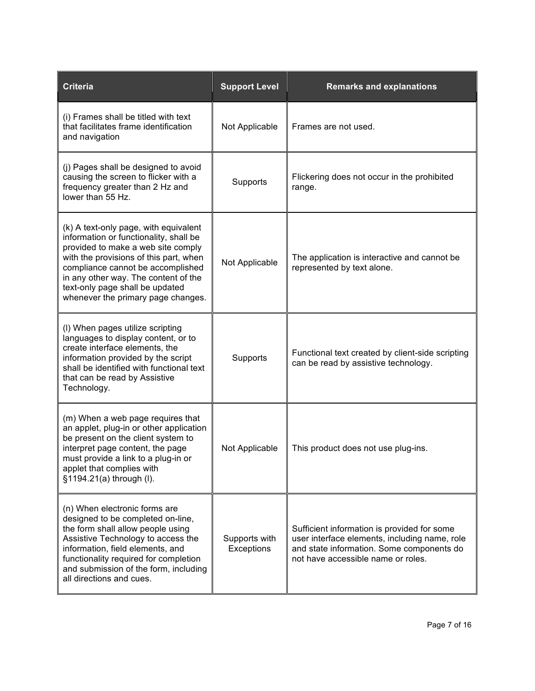| <b>Criteria</b>                                                                                                                                                                                                                                                                                                       | <b>Support Level</b>        | <b>Remarks and explanations</b>                                                                                                                                                 |
|-----------------------------------------------------------------------------------------------------------------------------------------------------------------------------------------------------------------------------------------------------------------------------------------------------------------------|-----------------------------|---------------------------------------------------------------------------------------------------------------------------------------------------------------------------------|
| (i) Frames shall be titled with text<br>that facilitates frame identification<br>and navigation                                                                                                                                                                                                                       | Not Applicable              | Frames are not used.                                                                                                                                                            |
| (i) Pages shall be designed to avoid<br>causing the screen to flicker with a<br>frequency greater than 2 Hz and<br>lower than 55 Hz.                                                                                                                                                                                  | Supports                    | Flickering does not occur in the prohibited<br>range.                                                                                                                           |
| (k) A text-only page, with equivalent<br>information or functionality, shall be<br>provided to make a web site comply<br>with the provisions of this part, when<br>compliance cannot be accomplished<br>in any other way. The content of the<br>text-only page shall be updated<br>whenever the primary page changes. | Not Applicable              | The application is interactive and cannot be<br>represented by text alone.                                                                                                      |
| (I) When pages utilize scripting<br>languages to display content, or to<br>create interface elements, the<br>information provided by the script<br>shall be identified with functional text<br>that can be read by Assistive<br>Technology.                                                                           | Supports                    | Functional text created by client-side scripting<br>can be read by assistive technology.                                                                                        |
| (m) When a web page requires that<br>an applet, plug-in or other application<br>be present on the client system to<br>interpret page content, the page<br>must provide a link to a plug-in or<br>applet that complies with<br>§1194.21(a) through (I).                                                                | Not Applicable              | This product does not use plug-ins.                                                                                                                                             |
| (n) When electronic forms are<br>designed to be completed on-line,<br>the form shall allow people using<br>Assistive Technology to access the<br>information, field elements, and<br>functionality required for completion<br>and submission of the form, including<br>all directions and cues.                       | Supports with<br>Exceptions | Sufficient information is provided for some<br>user interface elements, including name, role<br>and state information. Some components do<br>not have accessible name or roles. |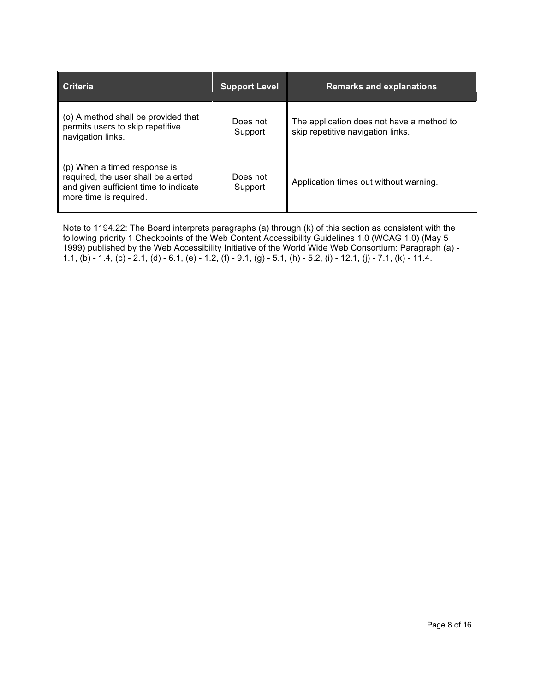| Criteria                                                                                                                               | <b>Support Level</b> | <b>Remarks and explanations</b>                                                |
|----------------------------------------------------------------------------------------------------------------------------------------|----------------------|--------------------------------------------------------------------------------|
| $\vert$ (o) A method shall be provided that<br>permits users to skip repetitive<br>navigation links.                                   | Does not<br>Support  | The application does not have a method to<br>skip repetitive navigation links. |
| (p) When a timed response is<br>required, the user shall be alerted<br>and given sufficient time to indicate<br>more time is required. | Does not<br>Support  | Application times out without warning.                                         |

Note to 1194.22: The Board interprets paragraphs (a) through (k) of this section as consistent with the following priority 1 Checkpoints of the Web Content Accessibility Guidelines 1.0 (WCAG 1.0) (May 5 1999) published by the Web Accessibility Initiative of the World Wide Web Consortium: Paragraph (a) - 1.1, (b) - 1.4, (c) - 2.1, (d) - 6.1, (e) - 1.2, (f) - 9.1, (g) - 5.1, (h) - 5.2, (i) - 12.1, (j) - 7.1, (k) - 11.4.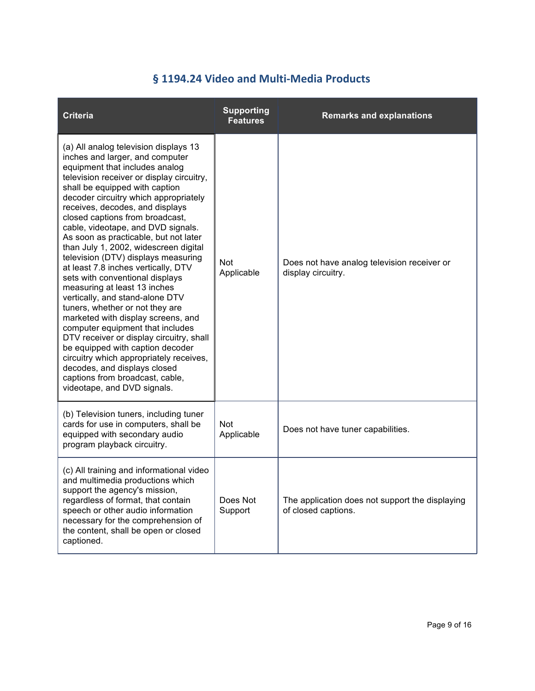#### § 1194.24 Video and Multi-Media Products

| <b>Criteria</b>                                                                                                                                                                                                                                                                                                                                                                                                                                                                                                                                                                                                                                                                                                                                                                                                                                                                                                                                                | <b>Supporting</b><br><b>Features</b> | <b>Remarks and explanations</b>                                        |
|----------------------------------------------------------------------------------------------------------------------------------------------------------------------------------------------------------------------------------------------------------------------------------------------------------------------------------------------------------------------------------------------------------------------------------------------------------------------------------------------------------------------------------------------------------------------------------------------------------------------------------------------------------------------------------------------------------------------------------------------------------------------------------------------------------------------------------------------------------------------------------------------------------------------------------------------------------------|--------------------------------------|------------------------------------------------------------------------|
| (a) All analog television displays 13<br>inches and larger, and computer<br>equipment that includes analog<br>television receiver or display circuitry,<br>shall be equipped with caption<br>decoder circuitry which appropriately<br>receives, decodes, and displays<br>closed captions from broadcast,<br>cable, videotape, and DVD signals.<br>As soon as practicable, but not later<br>than July 1, 2002, widescreen digital<br>television (DTV) displays measuring<br>at least 7.8 inches vertically, DTV<br>sets with conventional displays<br>measuring at least 13 inches<br>vertically, and stand-alone DTV<br>tuners, whether or not they are<br>marketed with display screens, and<br>computer equipment that includes<br>DTV receiver or display circuitry, shall<br>be equipped with caption decoder<br>circuitry which appropriately receives,<br>decodes, and displays closed<br>captions from broadcast, cable,<br>videotape, and DVD signals. | <b>Not</b><br>Applicable             | Does not have analog television receiver or<br>display circuitry.      |
| (b) Television tuners, including tuner<br>cards for use in computers, shall be<br>equipped with secondary audio<br>program playback circuitry.                                                                                                                                                                                                                                                                                                                                                                                                                                                                                                                                                                                                                                                                                                                                                                                                                 | <b>Not</b><br>Applicable             | Does not have tuner capabilities.                                      |
| (c) All training and informational video<br>and multimedia productions which<br>support the agency's mission,<br>regardless of format, that contain<br>speech or other audio information<br>necessary for the comprehension of<br>the content, shall be open or closed<br>captioned.                                                                                                                                                                                                                                                                                                                                                                                                                                                                                                                                                                                                                                                                           | Does Not<br>Support                  | The application does not support the displaying<br>of closed captions. |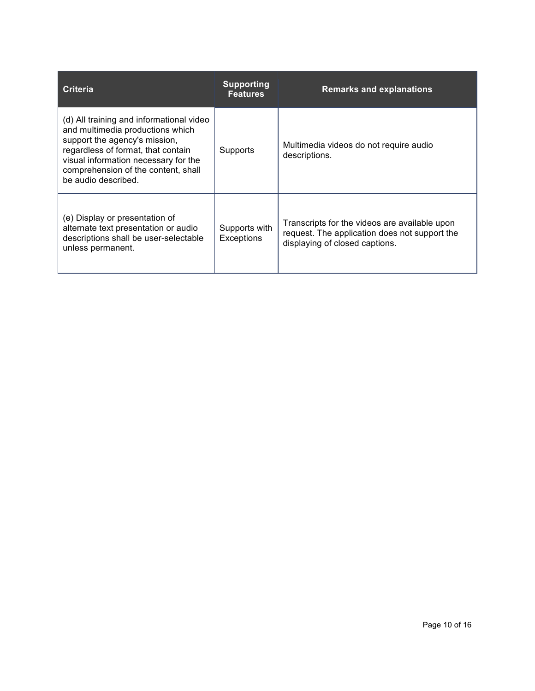| Criteria                                                                                                                                                                                                                                                  | <b>Supporting</b><br><b>Features</b> | <b>Remarks and explanations</b>                                                                                                  |
|-----------------------------------------------------------------------------------------------------------------------------------------------------------------------------------------------------------------------------------------------------------|--------------------------------------|----------------------------------------------------------------------------------------------------------------------------------|
| (d) All training and informational video<br>and multimedia productions which<br>support the agency's mission,<br>regardless of format, that contain<br>visual information necessary for the<br>comprehension of the content, shall<br>be audio described. | Supports                             | Multimedia videos do not require audio<br>descriptions.                                                                          |
| (e) Display or presentation of<br>alternate text presentation or audio<br>descriptions shall be user-selectable<br>unless permanent.                                                                                                                      | Supports with<br>Exceptions          | Transcripts for the videos are available upon<br>request. The application does not support the<br>displaying of closed captions. |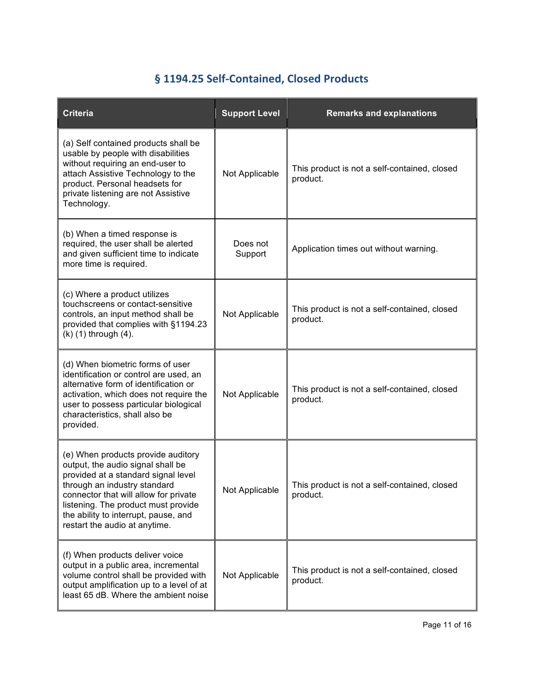# **§ 1194.25 Self-Contained, Closed Products**

| <b>Criteria</b>                                                                                                                                                                                                                                                                                         | <b>Support Level</b> | <b>Remarks and explanations</b>                          |
|---------------------------------------------------------------------------------------------------------------------------------------------------------------------------------------------------------------------------------------------------------------------------------------------------------|----------------------|----------------------------------------------------------|
| (a) Self contained products shall be<br>usable by people with disabilities<br>without requiring an end-user to<br>attach Assistive Technology to the<br>product. Personal headsets for<br>private listening are not Assistive<br>Technology.                                                            | Not Applicable       | This product is not a self-contained, closed<br>product. |
| (b) When a timed response is<br>required, the user shall be alerted<br>and given sufficient time to indicate<br>more time is required.                                                                                                                                                                  | Does not<br>Support  | Application times out without warning.                   |
| (c) Where a product utilizes<br>touchscreens or contact-sensitive<br>controls, an input method shall be<br>provided that complies with §1194.23<br>(k) (1) through (4).                                                                                                                                 | Not Applicable       | This product is not a self-contained, closed<br>product. |
| (d) When biometric forms of user<br>identification or control are used, an<br>alternative form of identification or<br>activation, which does not require the<br>user to possess particular biological<br>characteristics, shall also be<br>provided.                                                   | Not Applicable       | This product is not a self-contained, closed<br>product. |
| (e) When products provide auditory<br>output, the audio signal shall be<br>provided at a standard signal level<br>through an industry standard<br>connector that will allow for private<br>listening. The product must provide<br>the ability to interrupt, pause, and<br>restart the audio at anytime. | Not Applicable       | This product is not a self-contained, closed<br>product. |
| (f) When products deliver voice<br>output in a public area, incremental<br>volume control shall be provided with<br>output amplification up to a level of at<br>least 65 dB. Where the ambient noise                                                                                                    | Not Applicable       | This product is not a self-contained, closed<br>product. |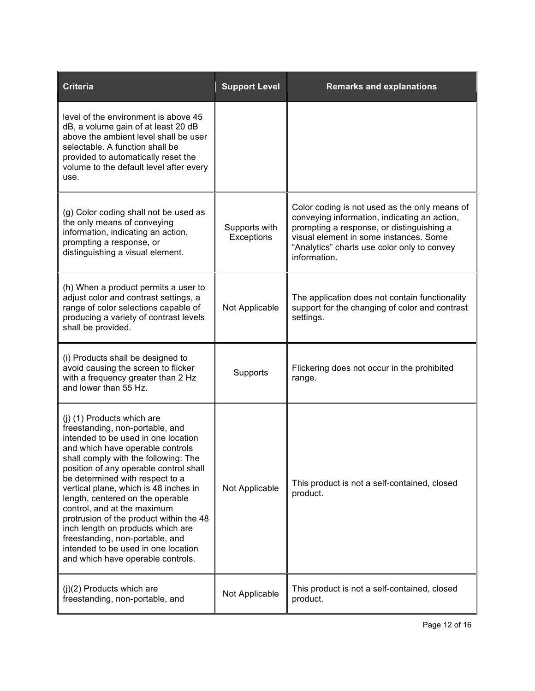| <b>Criteria</b>                                                                                                                                                                                                                                                                                                                                                                                                                                                                                                                                                          | <b>Support Level</b>        | <b>Remarks and explanations</b>                                                                                                                                                                                                                     |
|--------------------------------------------------------------------------------------------------------------------------------------------------------------------------------------------------------------------------------------------------------------------------------------------------------------------------------------------------------------------------------------------------------------------------------------------------------------------------------------------------------------------------------------------------------------------------|-----------------------------|-----------------------------------------------------------------------------------------------------------------------------------------------------------------------------------------------------------------------------------------------------|
| level of the environment is above 45<br>dB, a volume gain of at least 20 dB<br>above the ambient level shall be user<br>selectable. A function shall be<br>provided to automatically reset the<br>volume to the default level after every<br>use.                                                                                                                                                                                                                                                                                                                        |                             |                                                                                                                                                                                                                                                     |
| (g) Color coding shall not be used as<br>the only means of conveying<br>information, indicating an action,<br>prompting a response, or<br>distinguishing a visual element.                                                                                                                                                                                                                                                                                                                                                                                               | Supports with<br>Exceptions | Color coding is not used as the only means of<br>conveying information, indicating an action,<br>prompting a response, or distinguishing a<br>visual element in some instances. Some<br>"Analytics" charts use color only to convey<br>information. |
| (h) When a product permits a user to<br>adjust color and contrast settings, a<br>range of color selections capable of<br>producing a variety of contrast levels<br>shall be provided.                                                                                                                                                                                                                                                                                                                                                                                    | Not Applicable              | The application does not contain functionality<br>support for the changing of color and contrast<br>settings.                                                                                                                                       |
| (i) Products shall be designed to<br>avoid causing the screen to flicker<br>with a frequency greater than 2 Hz<br>and lower than 55 Hz.                                                                                                                                                                                                                                                                                                                                                                                                                                  | Supports                    | Flickering does not occur in the prohibited<br>range.                                                                                                                                                                                               |
| (j) (1) Products which are<br>freestanding, non-portable, and<br>intended to be used in one location<br>and which have operable controls<br>shall comply with the following: The<br>position of any operable control shall<br>be determined with respect to a<br>vertical plane, which is 48 inches in<br>length, centered on the operable<br>control, and at the maximum<br>protrusion of the product within the 48<br>inch length on products which are<br>freestanding, non-portable, and<br>intended to be used in one location<br>and which have operable controls. | Not Applicable              | This product is not a self-contained, closed<br>product.                                                                                                                                                                                            |
| $(j)(2)$ Products which are<br>freestanding, non-portable, and                                                                                                                                                                                                                                                                                                                                                                                                                                                                                                           | Not Applicable              | This product is not a self-contained, closed<br>product.                                                                                                                                                                                            |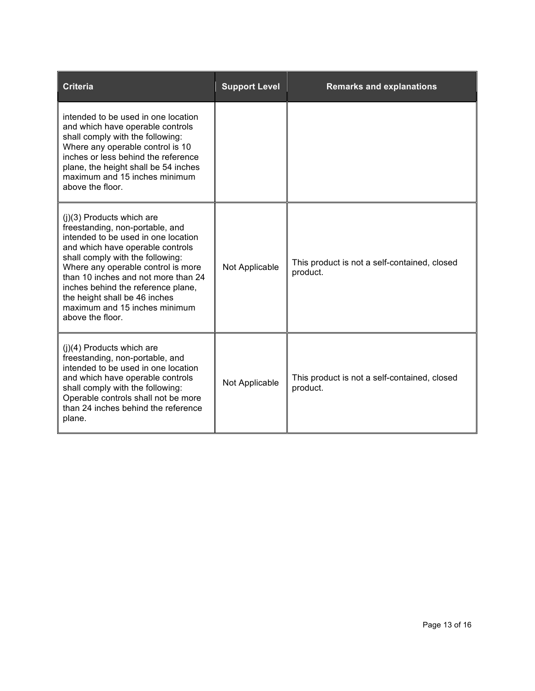| <b>Criteria</b>                                                                                                                                                                                                                                                                                                                                                                        | <b>Support Level</b> | <b>Remarks and explanations</b>                          |
|----------------------------------------------------------------------------------------------------------------------------------------------------------------------------------------------------------------------------------------------------------------------------------------------------------------------------------------------------------------------------------------|----------------------|----------------------------------------------------------|
| intended to be used in one location<br>and which have operable controls<br>shall comply with the following:<br>Where any operable control is 10<br>inches or less behind the reference<br>plane, the height shall be 54 inches<br>maximum and 15 inches minimum<br>above the floor.                                                                                                    |                      |                                                          |
| $(i)(3)$ Products which are<br>freestanding, non-portable, and<br>intended to be used in one location<br>and which have operable controls<br>shall comply with the following:<br>Where any operable control is more<br>than 10 inches and not more than 24<br>inches behind the reference plane,<br>the height shall be 46 inches<br>maximum and 15 inches minimum<br>above the floor. | Not Applicable       | This product is not a self-contained, closed<br>product. |
| $(i)(4)$ Products which are<br>freestanding, non-portable, and<br>intended to be used in one location<br>and which have operable controls<br>shall comply with the following:<br>Operable controls shall not be more<br>than 24 inches behind the reference<br>plane.                                                                                                                  | Not Applicable       | This product is not a self-contained, closed<br>product. |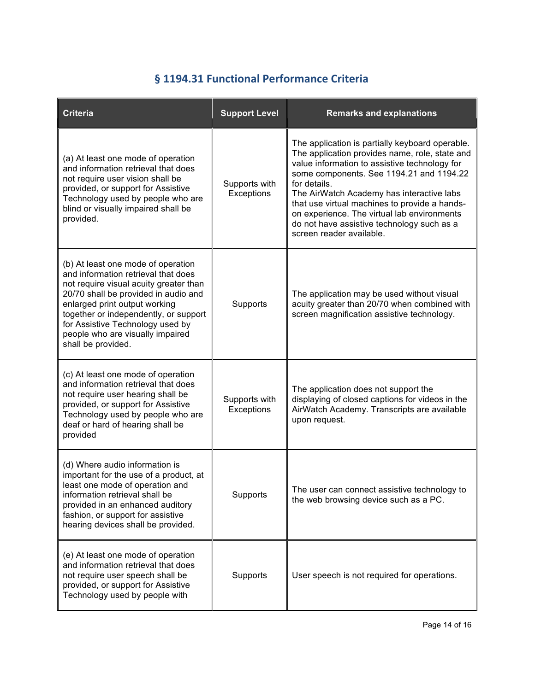#### § 1194.31 Functional Performance Criteria

| <b>Criteria</b>                                                                                                                                                                                                                                                                                                                     | <b>Support Level</b>        | <b>Remarks and explanations</b>                                                                                                                                                                                                                                                                                                                                                                                                       |
|-------------------------------------------------------------------------------------------------------------------------------------------------------------------------------------------------------------------------------------------------------------------------------------------------------------------------------------|-----------------------------|---------------------------------------------------------------------------------------------------------------------------------------------------------------------------------------------------------------------------------------------------------------------------------------------------------------------------------------------------------------------------------------------------------------------------------------|
| (a) At least one mode of operation<br>and information retrieval that does<br>not require user vision shall be<br>provided, or support for Assistive<br>Technology used by people who are<br>blind or visually impaired shall be<br>provided.                                                                                        | Supports with<br>Exceptions | The application is partially keyboard operable.<br>The application provides name, role, state and<br>value information to assistive technology for<br>some components. See 1194.21 and 1194.22<br>for details.<br>The AirWatch Academy has interactive labs<br>that use virtual machines to provide a hands-<br>on experience. The virtual lab environments<br>do not have assistive technology such as a<br>screen reader available. |
| (b) At least one mode of operation<br>and information retrieval that does<br>not require visual acuity greater than<br>20/70 shall be provided in audio and<br>enlarged print output working<br>together or independently, or support<br>for Assistive Technology used by<br>people who are visually impaired<br>shall be provided. | Supports                    | The application may be used without visual<br>acuity greater than 20/70 when combined with<br>screen magnification assistive technology.                                                                                                                                                                                                                                                                                              |
| (c) At least one mode of operation<br>and information retrieval that does<br>not require user hearing shall be<br>provided, or support for Assistive<br>Technology used by people who are<br>deaf or hard of hearing shall be<br>provided                                                                                           | Supports with<br>Exceptions | The application does not support the<br>displaying of closed captions for videos in the<br>AirWatch Academy. Transcripts are available<br>upon request.                                                                                                                                                                                                                                                                               |
| (d) Where audio information is<br>important for the use of a product, at<br>least one mode of operation and<br>information retrieval shall be<br>provided in an enhanced auditory<br>fashion, or support for assistive<br>hearing devices shall be provided.                                                                        | Supports                    | The user can connect assistive technology to<br>the web browsing device such as a PC.                                                                                                                                                                                                                                                                                                                                                 |
| (e) At least one mode of operation<br>and information retrieval that does<br>not require user speech shall be<br>provided, or support for Assistive<br>Technology used by people with                                                                                                                                               | Supports                    | User speech is not required for operations.                                                                                                                                                                                                                                                                                                                                                                                           |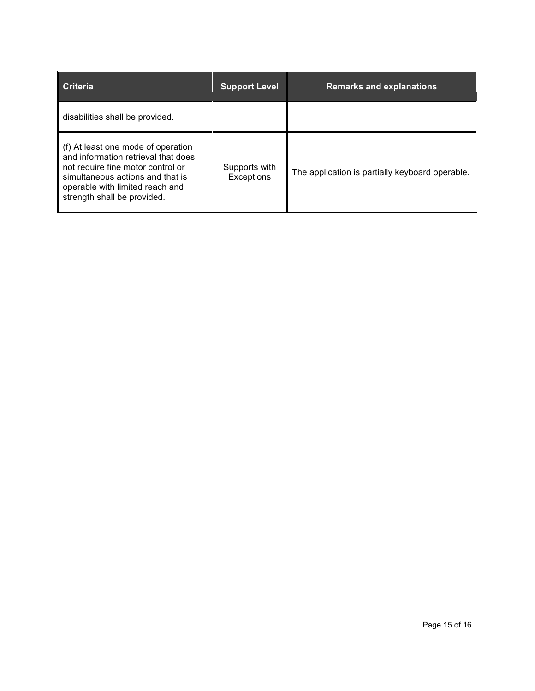| I Criteria                                                                                                                                                                                                           | <b>Support Level</b>        | <b>Remarks and explanations</b>                 |
|----------------------------------------------------------------------------------------------------------------------------------------------------------------------------------------------------------------------|-----------------------------|-------------------------------------------------|
| disabilities shall be provided.                                                                                                                                                                                      |                             |                                                 |
| (f) At least one mode of operation<br>and information retrieval that does<br>not require fine motor control or<br>simultaneous actions and that is<br>operable with limited reach and<br>strength shall be provided. | Supports with<br>Exceptions | The application is partially keyboard operable. |